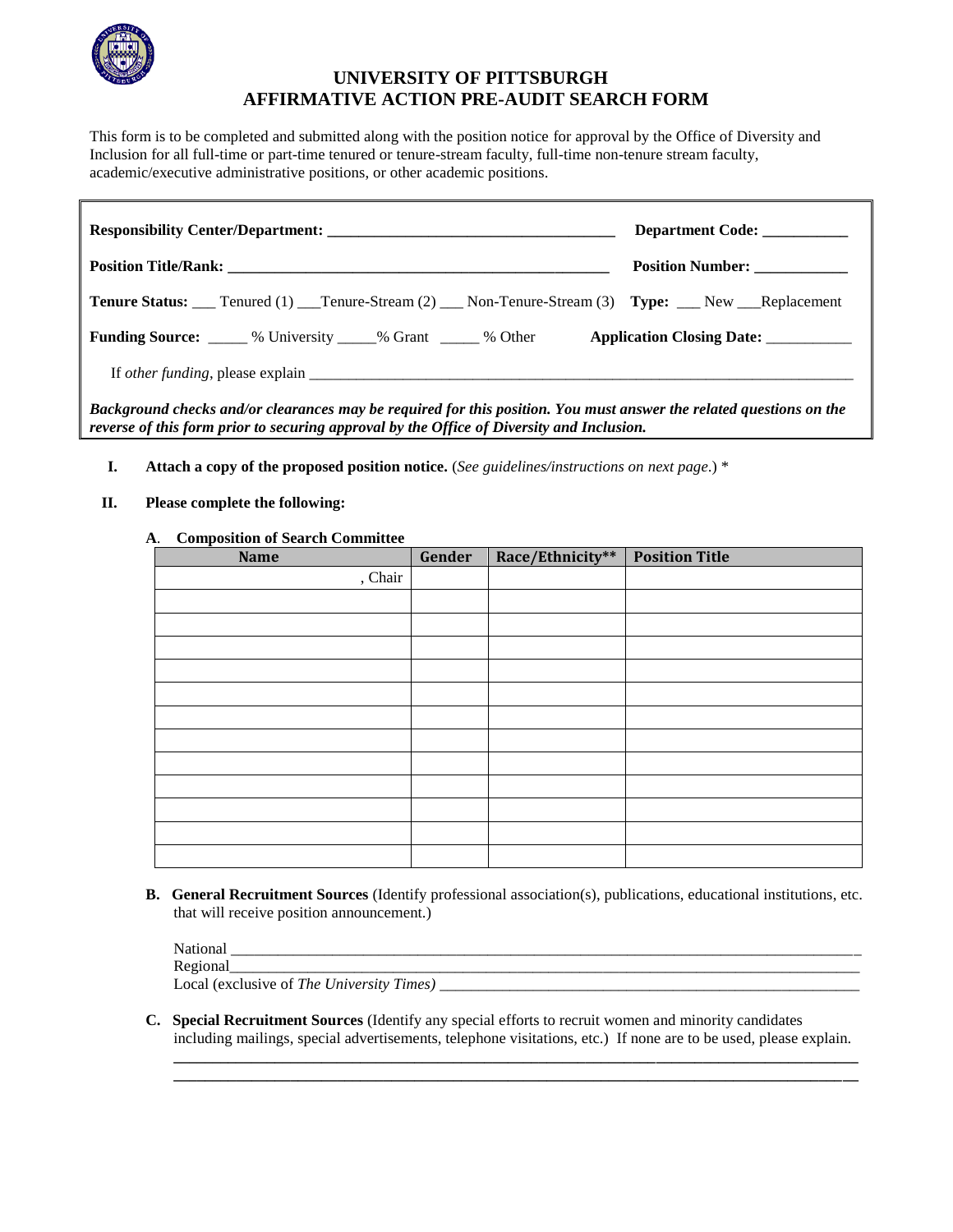

## **UNIVERSITY OF PITTSBURGH AFFIRMATIVE ACTION PRE-AUDIT SEARCH FORM**

This form is to be completed and submitted along with the position notice for approval by the Office of Diversity and Inclusion for all full-time or part-time tenured or tenure-stream faculty, full-time non-tenure stream faculty, academic/executive administrative positions, or other academic positions.

| Responsibility Center/Department:                                                                                                                                                                                | Department Code:             |
|------------------------------------------------------------------------------------------------------------------------------------------------------------------------------------------------------------------|------------------------------|
|                                                                                                                                                                                                                  | Position Number: ___________ |
| <b>Tenure Status:</b> ___ Tenured (1) ____Tenure-Stream (2) ____ Non-Tenure-Stream (3) Type: ____ New ___Replacement                                                                                             |                              |
| <b>Funding Source:</b> 6.1.1.2010 % University 6.1.2010 % Orant 6.1.2010 % Other 6.1.2010 Application Closing Date: 6.1.2010                                                                                     |                              |
|                                                                                                                                                                                                                  |                              |
| Background checks and/or clearances may be required for this position. You must answer the related questions on the<br>reverse of this form prior to securing approval by the Office of Diversity and Inclusion. |                              |

- **I. Attach a copy of the proposed position notice.** (*See guidelines/instructions on next page*.) \*
- **II. Please complete the following:**

## **A**. **Composition of Search Committee**

| <b>Name</b> | Gender | Race/Ethnicity** | <b>Position Title</b> |
|-------------|--------|------------------|-----------------------|
| , Chair     |        |                  |                       |
|             |        |                  |                       |
|             |        |                  |                       |
|             |        |                  |                       |
|             |        |                  |                       |
|             |        |                  |                       |
|             |        |                  |                       |
|             |        |                  |                       |
|             |        |                  |                       |
|             |        |                  |                       |
|             |        |                  |                       |
|             |        |                  |                       |
|             |        |                  |                       |

**B. General Recruitment Sources** (Identify professional association(s), publications, educational institutions, etc. that will receive position announcement.)

| National                                  |  |
|-------------------------------------------|--|
| Regional                                  |  |
| Local (exclusive of The University Times) |  |

**\_\_\_\_\_\_\_\_\_\_\_\_\_\_\_\_\_\_\_\_\_\_\_\_\_\_\_\_\_\_\_\_\_\_\_\_\_\_\_\_\_\_\_\_\_\_\_\_\_\_\_\_\_\_\_\_\_\_\_\_\_\_\_\_\_\_\_\_\_\_\_\_\_\_\_\_\_\_\_\_\_\_\_\_\_\_\_\_ \_\_\_\_\_\_\_\_\_\_\_\_\_\_\_\_\_\_\_\_\_\_\_\_\_\_\_\_\_\_\_\_\_\_\_\_\_\_\_\_\_\_\_\_\_\_\_\_\_\_\_\_\_\_\_\_\_\_\_\_\_\_\_\_\_\_\_\_\_\_\_\_\_\_\_\_\_\_\_\_\_\_\_\_\_\_\_\_**

**C. Special Recruitment Sources** (Identify any special efforts to recruit women and minority candidates including mailings, special advertisements, telephone visitations, etc.) If none are to be used, please explain.